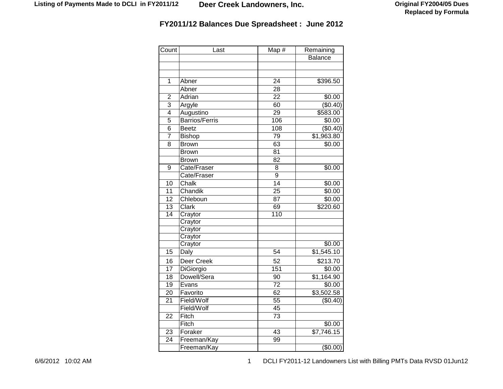| Count           | Last                  | Map #            | Remaining              |
|-----------------|-----------------------|------------------|------------------------|
|                 |                       |                  | <b>Balance</b>         |
|                 |                       |                  |                        |
|                 |                       |                  |                        |
| $\mathbf{1}$    | Abner                 | 24               | \$396.50               |
|                 | Abner                 | 28               |                        |
| $\overline{2}$  | Adrian                | $\overline{22}$  | \$0.00                 |
| 3               | Argyle                | 60               | (\$0.40)               |
| $\overline{4}$  | Augustino             | $\overline{29}$  | \$583.00               |
| 5               | <b>Barrios/Ferris</b> | 106              | \$0.00                 |
| 6               | <b>Beetz</b>          | 108              | (\$0.40)               |
| 7               | <b>Bishop</b>         | 79               | \$1,963.80             |
| 8               | <b>Brown</b>          | 63               | \$0.00                 |
|                 | <b>Brown</b>          | 81               |                        |
|                 | <b>Brown</b>          | 82               |                        |
| 9               | Cate/Fraser           | 8                | \$0.00                 |
|                 | Cate/Fraser           | $\overline{9}$   |                        |
| 10              | Chalk                 | $\overline{14}$  | \$0.00                 |
| 11              | Chandik               | $\overline{25}$  | \$0.00                 |
| 12              | Chleboun              | 87               | \$0.00                 |
| 13              | Clark                 | 69               | \$220.60               |
| $\overline{14}$ | Craytor               | $\overline{110}$ |                        |
|                 | Craytor               |                  |                        |
|                 | Craytor               |                  |                        |
|                 | Craytor               |                  |                        |
|                 | Craytor               |                  | \$0.00                 |
| 15              | Daly                  | 54               | \$1,545.10             |
| 16              | Deer Creek            | 52               | \$213.70               |
| 17              | DiGiorgio             | 151              | \$0.00                 |
| 18              | Dowell/Sera           | 90               | \$1,164.90             |
| 19              | Evans                 | 72               | \$0.00                 |
| 20              | Favorito              | 62               | \$3,502.58             |
| 21              | Field/Wolf            | 55               | (\$0.40)               |
|                 | Field/Wolf            | 45               |                        |
| 22              | Fitch                 | 73               |                        |
|                 | Fitch                 |                  | \$0.00                 |
| 23              | Foraker               | $\overline{43}$  | $\overline{$7,746.15}$ |
| $\overline{24}$ | Freeman/Kay           | 99               |                        |
|                 | Freeman/Kay           |                  | $($ \$0.00)            |

6/6/2012 10:02 AM 1 0:02 AM 1 DCLI FY2011-12 Landowners List with Billing PMTs Data RVSD 01Jun12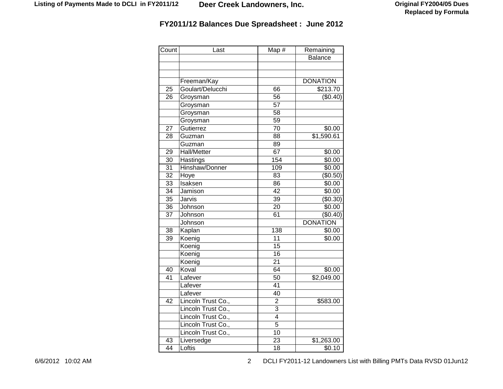| Count           | Last               | Map #           | Remaining       |
|-----------------|--------------------|-----------------|-----------------|
|                 |                    |                 | <b>Balance</b>  |
|                 |                    |                 |                 |
|                 |                    |                 |                 |
|                 | Freeman/Kay        |                 | <b>DONATION</b> |
| 25              | Goulart/Delucchi   | 66              | \$213.70        |
| 26              | Groysman           | 56              | (\$0.40)        |
|                 | Groysman           | $\overline{57}$ |                 |
|                 | Groysman           | $\overline{58}$ |                 |
|                 | Groysman           | 59              |                 |
| 27              | Gutierrez          | 70              | \$0.00          |
| 28              | Guzman             | 88              | \$1,590.61      |
|                 | Guzman             | 89              |                 |
| 29              | <b>Hall/Metter</b> | 67              | \$0.00          |
| 30              | Hastings           | 154             | $\sqrt{$0.00}$  |
| 31              | Hinshaw/Donner     | 109             | \$0.00          |
| $\overline{32}$ | Hoye               | 83              | (\$0.50)        |
| $\overline{33}$ | Isaksen            | 86              | \$0.00          |
| 34              | Jamison            | 42              | \$0.00          |
| 35              | Jarvis             | 39              | (\$0.30)        |
| 36              | Johnson            | 20              | \$0.00          |
| 37              | Johnson            | 61              | (\$0.40)        |
|                 | Johnson            |                 | <b>DONATION</b> |
| 38              | Kaplan             | 138             | \$0.00          |
| 39              | Koenig             | 11              | \$0.00          |
|                 | Koenig             | 15              |                 |
|                 | Koenig             | 16              |                 |
|                 | Koenig             | 21              |                 |
| 40              | Koval              | 64              | \$0.00          |
| 41              | Lafever            | 50              | \$2,049.00      |
|                 | Lafever            | 41              |                 |
|                 | Lafever            | 40              |                 |
| 42              | Lincoln Trust Co., | $\overline{2}$  | \$583.00        |
|                 | Lincoln Trust Co., | 3               |                 |
|                 | Lincoln Trust Co., | $\overline{4}$  |                 |
|                 | Lincoln Trust Co., | $\overline{5}$  |                 |
|                 | Lincoln Trust Co., | $\overline{10}$ |                 |
| 43              | Liversedge         | $\overline{2}3$ | \$1,263.00      |
| 44              | Loftis             | 18              | \$0.10          |

6/6/2012 10:02 AM 2 DCLI FY2011-12 Landowners List with Billing PMTs Data RVSD 01Jun12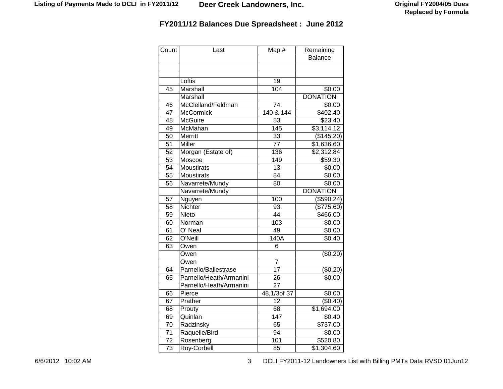| Count           | Last                    | Map #            | Remaining       |
|-----------------|-------------------------|------------------|-----------------|
|                 |                         |                  | <b>Balance</b>  |
|                 |                         |                  |                 |
|                 |                         |                  |                 |
|                 | Loftis                  | 19               |                 |
| 45              | Marshall                | 104              | \$0.00          |
|                 | Marshall                |                  | <b>DONATION</b> |
| 46              | McClelland/Feldman      | 74               | \$0.00          |
| 47              | McCormick               | 140 & 144        | \$402.40        |
| 48              | <b>McGuire</b>          | 53               | \$23.40         |
| 49              | McMahan                 | $\overline{145}$ | \$3,114.12      |
| 50              | Merritt                 | 33               | (\$145.20)      |
| 51              | Miller                  | $\overline{77}$  | \$1,636.60      |
| $\overline{52}$ | Morgan (Estate of)      | 136              | \$2,312.84      |
| 53              | Moscoe                  | 149              | \$59.30         |
| 54              | <b>Moustirats</b>       | $\overline{13}$  | \$0.00          |
| 55              | Moustirats              | 84               | \$0.00          |
| 56              | Navarrete/Mundy         | 80               | \$0.00          |
|                 | Navarrete/Mundy         |                  | <b>DONATION</b> |
| 57              | Nguyen                  | 100              | (\$590.24)      |
| 58              | Nichter                 | 93               | (\$775.60)      |
| 59              | Nieto                   | 44               | \$466.00        |
| 60              | Norman                  | 103              | \$0.00          |
| 61              | O' Neal                 | 49               | \$0.00          |
| 62              | O'Neill                 | 140A             | \$0.40          |
| 63              | Owen                    | 6                |                 |
|                 | Owen                    |                  | (\$0.20)        |
|                 | Owen                    | $\overline{7}$   |                 |
| 64              | Parnello/Ballestrase    | 17               | (\$0.20)        |
| 65              | Parnello/Heath/Armanini | 26               | \$0.00          |
|                 | Parnello/Heath/Armanini | 27               |                 |
| 66              | Pierce                  | 48,1/3of 37      | \$0.00          |
| 67              | Prather                 | 12               | (\$0.40)        |
| 68              | Prouty                  | 68               | \$1,694.00      |
| 69              | Quinlan                 | 147              | \$0.40          |
| 70              | Radzinsky               | 65               | \$737.00        |
| 71              | Raquelle/Bird           | 94               | \$0.00          |
| 72              | Rosenberg               | 101              | \$520.80        |
| 73              | Roy-Corbell             | 85               | \$1,304.60      |

6/6/2012 10:02 AM 3 DCLI FY2011-12 Landowners List with Billing PMTs Data RVSD 01Jun12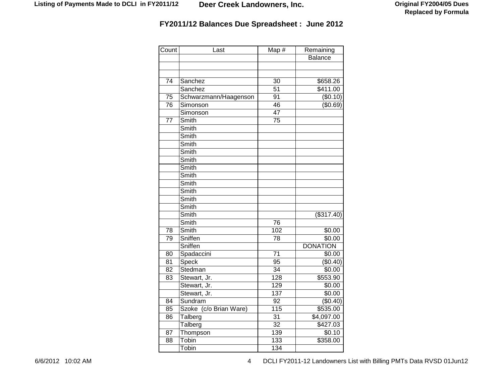| Count           | Last                           | Map #           | Remaining            |
|-----------------|--------------------------------|-----------------|----------------------|
|                 |                                |                 | <b>Balance</b>       |
|                 |                                |                 |                      |
|                 |                                |                 |                      |
| 74              | Sanchez                        | $\overline{30}$ | \$658.26             |
|                 | Sanchez                        | 51              | $\overline{$411.00}$ |
| 75              | Schwarzmann/Haagenson          | 91              | (\$0.10)             |
| 76              | Simonson                       | 46              | (\$0.69)             |
|                 | Simonson                       | 47              |                      |
| $\overline{77}$ | Smith                          | 75              |                      |
|                 | Smith                          |                 |                      |
|                 | Smith                          |                 |                      |
|                 | Smith                          |                 |                      |
|                 | Smith                          |                 |                      |
|                 | Smith                          |                 |                      |
|                 | Smith                          |                 |                      |
|                 | Smith                          |                 |                      |
|                 | Smith                          |                 |                      |
|                 | Smith                          |                 |                      |
|                 | Smith                          |                 |                      |
|                 | Smith                          |                 |                      |
|                 | Smith                          |                 | $($ \$317.40)        |
|                 | Smith                          | 76              |                      |
| 78              | Smith                          | 102             | \$0.00               |
| 79              | Sniffen                        | 78              | \$0.00               |
|                 | Sniffen                        |                 | <b>DONATION</b>      |
| 80              | Spadaccini                     | 71              | \$0.00               |
| 81              | Speck                          | 95              | (\$0.40)             |
| 82              | Stedman                        | 34              | \$0.00               |
| 83              | Stewart, Jr.                   | 128             | \$553.90             |
|                 | Stewart, Jr.                   | 129             | \$0.00               |
|                 | Stewart, Jr.                   | 137             | \$0.00               |
| 84              | Sundram                        | 92              | (\$0.40)             |
| 85              | Szoke (c/o Brian Ware)         | 115             | \$535.00             |
| 86              | $\overline{\mathsf{T}}$ alberg | $\overline{31}$ | \$4,097.00           |
|                 | Talberg                        | $\overline{32}$ | \$427.03             |
| 87              | Thompson                       | 139             | \$0.10               |
| 88              | Tobin                          | 133             | \$358.00             |
|                 | Tobin                          | 134             |                      |

6/6/2012 10:02 AM 6/6/2012 10:02 AM 6/6/2012 10:02 AM